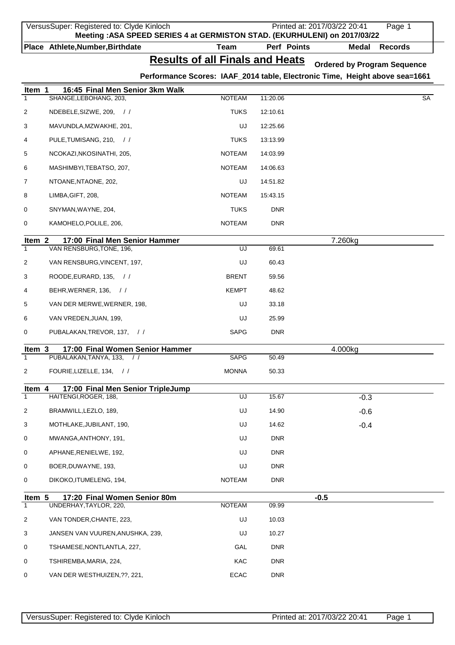|                   | VersusSuper: Registered to: Clyde Kinloch | Meeting : ASA SPEED SERIES 4 at GERMISTON STAD. (EKURHULENI) on 2017/03/22  |             | Printed at: 2017/03/22 20:41       | Page 1         |
|-------------------|-------------------------------------------|-----------------------------------------------------------------------------|-------------|------------------------------------|----------------|
|                   | Place Athlete, Number, Birthdate          | <b>Team</b>                                                                 | Perf Points | <b>Medal</b>                       | <b>Records</b> |
|                   |                                           | <b>Results of all Finals and Heats</b>                                      |             | <b>Ordered by Program Sequence</b> |                |
|                   |                                           | Performance Scores: IAAF_2014 table, Electronic Time, Height above sea=1661 |             |                                    |                |
| Item 1            | 16:45 Final Men Senior 3km Walk           |                                                                             |             |                                    |                |
| $\mathbf{1}$      | SHANGE, LEBOHANG, 203,                    | <b>NOTEAM</b>                                                               | 11:20.06    |                                    | SA             |
| 2                 | NDEBELE, SIZWE, 209, //                   | <b>TUKS</b>                                                                 | 12:10.61    |                                    |                |
| 3                 | MAVUNDLA, MZWAKHE, 201,                   | UJ                                                                          | 12:25.66    |                                    |                |
| 4                 | PULE, TUMISANG, 210, //                   | <b>TUKS</b>                                                                 | 13:13.99    |                                    |                |
| 5                 | NCOKAZI, NKOSINATHI, 205,                 | <b>NOTEAM</b>                                                               | 14:03.99    |                                    |                |
| 6                 | MASHIMBYI, TEBATSO, 207,                  | <b>NOTEAM</b>                                                               | 14:06.63    |                                    |                |
| 7                 | NTOANE, NTAONE, 202,                      | UJ                                                                          | 14:51.82    |                                    |                |
| 8                 | LIMBA, GIFT, 208,                         | <b>NOTEAM</b>                                                               | 15:43.15    |                                    |                |
| 0                 | SNYMAN, WAYNE, 204,                       | <b>TUKS</b>                                                                 | <b>DNR</b>  |                                    |                |
| 0                 | KAMOHELO, POLILE, 206,                    | <b>NOTEAM</b>                                                               | <b>DNR</b>  |                                    |                |
| Item <sub>2</sub> | 17:00 Final Men Senior Hammer             |                                                                             |             | 7.260kg                            |                |
| $\mathbf{1}$      | VAN RENSBURG, TONE, 196,                  | UJ                                                                          | 69.61       |                                    |                |
| 2                 | VAN RENSBURG, VINCENT, 197,               | UJ                                                                          | 60.43       |                                    |                |
| 3                 | ROODE, EURARD, 135, //                    | <b>BRENT</b>                                                                | 59.56       |                                    |                |
| 4                 | BEHR, WERNER, 136, //                     | <b>KEMPT</b>                                                                | 48.62       |                                    |                |
| 5                 | VAN DER MERWE, WERNER, 198,               | UJ                                                                          | 33.18       |                                    |                |
| 6                 | VAN VREDEN, JUAN, 199,                    | UJ                                                                          | 25.99       |                                    |                |
| 0                 | PUBALAKAN, TREVOR, 137, //                | SAPG                                                                        | <b>DNR</b>  |                                    |                |
| Item 3            | 17:00 Final Women Senior Hammer           |                                                                             |             | 4.000kg                            |                |
| $\mathbf{1}$      | PUBALAKAN, TANYA, 133,<br>$\frac{1}{2}$   | <b>SAPG</b>                                                                 | 50.49       |                                    |                |
| 2                 | FOURIE, LIZELLE, 134, //                  | <b>MONNA</b>                                                                | 50.33       |                                    |                |
| Item 4            | 17:00 Final Men Senior TripleJump         |                                                                             |             |                                    |                |
| $\mathbf{1}$      | HAITENGI, ROGER, 188,                     | UJ                                                                          | 15.67       | $-0.3$                             |                |
| 2                 | BRAMWILL, LEZLO, 189,                     | UJ                                                                          | 14.90       | $-0.6$                             |                |
| 3                 | MOTHLAKE, JUBILANT, 190,                  | UJ                                                                          | 14.62       | $-0.4$                             |                |
| 0                 | MWANGA, ANTHONY, 191,                     | UJ                                                                          | <b>DNR</b>  |                                    |                |
| 0                 | APHANE, RENIELWE, 192,                    | UJ                                                                          | <b>DNR</b>  |                                    |                |
| 0                 | BOER, DUWAYNE, 193,                       | UJ                                                                          | <b>DNR</b>  |                                    |                |
| 0                 | DIKOKO, ITUMELENG, 194,                   | <b>NOTEAM</b>                                                               | <b>DNR</b>  |                                    |                |
| Item 5            | 17:20 Final Women Senior 80m              |                                                                             |             | $-0.5$                             |                |
| $\mathbf{1}$      | UNDERHAY, TAYLOR, 220,                    | <b>NOTEAM</b>                                                               | 09.99       |                                    |                |
| 2                 | VAN TONDER, CHANTE, 223,                  | UJ                                                                          | 10.03       |                                    |                |
| 3                 | JANSEN VAN VUUREN,ANUSHKA, 239,           | UJ                                                                          | 10.27       |                                    |                |
| 0                 | TSHAMESE, NONTLANTLA, 227,                | GAL                                                                         | <b>DNR</b>  |                                    |                |
| 0                 | TSHIREMBA,MARIA, 224,                     | KAC                                                                         | <b>DNR</b>  |                                    |                |
| 0                 | VAN DER WESTHUIZEN, ??, 221,              | <b>ECAC</b>                                                                 | <b>DNR</b>  |                                    |                |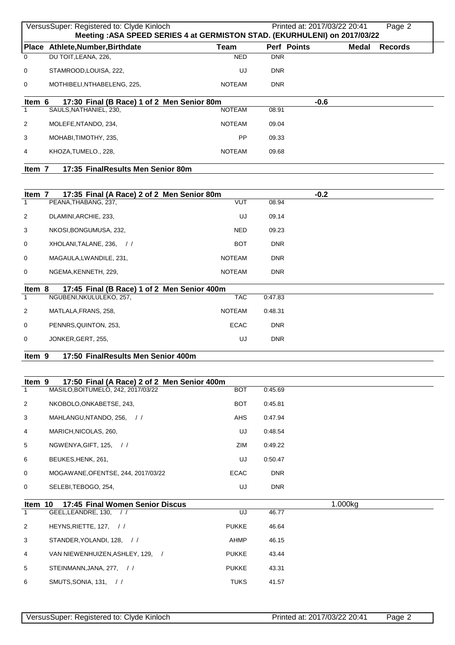|                        | VersusSuper: Registered to: Clyde Kinloch<br>Meeting : ASA SPEED SERIES 4 at GERMISTON STAD. (EKURHULENI) on 2017/03/22 |                                |                          | Printed at: 2017/03/22 20:41 |              | Page 2         |
|------------------------|-------------------------------------------------------------------------------------------------------------------------|--------------------------------|--------------------------|------------------------------|--------------|----------------|
|                        | Place Athlete, Number, Birthdate                                                                                        | <b>Team</b>                    |                          | Perf Points                  | <b>Medal</b> | <b>Records</b> |
| $\Omega$               | DU TOIT, LEANA, 226,                                                                                                    | <b>NED</b>                     | <b>DNR</b>               |                              |              |                |
| 0                      | STAMROOD, LOUISA, 222,                                                                                                  | UJ                             | <b>DNR</b>               |                              |              |                |
| 0                      | MOTHIBELI, NTHABELENG, 225,                                                                                             | <b>NOTEAM</b>                  | <b>DNR</b>               |                              |              |                |
| Item 6<br>$\mathbf{1}$ | 17:30 Final (B Race) 1 of 2 Men Senior 80m<br>SAULS, NATHANIEL, 230,                                                    | <b>NOTEAM</b>                  | 08.91                    | $-0.6$                       |              |                |
| 2                      | MOLEFE, NTANDO, 234,                                                                                                    | NOTEAM                         | 09.04                    |                              |              |                |
| 3                      | MOHABI, TIMOTHY, 235,                                                                                                   | <b>PP</b>                      | 09.33                    |                              |              |                |
| 4                      | KHOZA, TUMELO., 228,                                                                                                    | <b>NOTEAM</b>                  | 09.68                    |                              |              |                |
| Item 7                 | 17:35 FinalResults Men Senior 80m                                                                                       |                                |                          |                              |              |                |
|                        |                                                                                                                         |                                |                          |                              |              |                |
| Item 7                 | 17:35 Final (A Race) 2 of 2 Men Senior 80m                                                                              |                                |                          | $-0.2$                       |              |                |
| $\mathbf{1}$           | PEANA, THABANG, 237,                                                                                                    | <b>VUT</b>                     | 08.94                    |                              |              |                |
| 2                      | DLAMINI, ARCHIE, 233,                                                                                                   | UJ                             | 09.14                    |                              |              |                |
| 3                      | NKOSI, BONGUMUSA, 232,                                                                                                  | <b>NED</b>                     | 09.23                    |                              |              |                |
| 0                      | XHOLANI, TALANE, 236, //                                                                                                | BOT                            | <b>DNR</b>               |                              |              |                |
| 0<br>0                 | MAGAULA, LWANDILE, 231,<br>NGEMA, KENNETH, 229,                                                                         | <b>NOTEAM</b><br><b>NOTEAM</b> | <b>DNR</b><br><b>DNR</b> |                              |              |                |
|                        |                                                                                                                         |                                |                          |                              |              |                |
| Item 8<br>$\mathbf{1}$ | 17:45 Final (B Race) 1 of 2 Men Senior 400m<br>NGUBENI, NKULULEKO, 257,                                                 | <b>TAC</b>                     | 0:47.83                  |                              |              |                |
| 2                      | MATLALA, FRANS, 258,                                                                                                    | <b>NOTEAM</b>                  | 0:48.31                  |                              |              |                |
| 0                      | PENNRS, QUINTON, 253,                                                                                                   | <b>ECAC</b>                    | <b>DNR</b>               |                              |              |                |
| 0                      | JONKER, GERT, 255,                                                                                                      | UJ                             | <b>DNR</b>               |                              |              |                |
| Item 9                 | 17:50 FinalResults Men Senior 400m                                                                                      |                                |                          |                              |              |                |
|                        |                                                                                                                         |                                |                          |                              |              |                |
| Item 9                 | 17:50 Final (A Race) 2 of 2 Men Senior 400m                                                                             |                                |                          |                              |              |                |
| $\mathbf{1}$           | MASILO, BOITUMELO, 242, 2017/03/22                                                                                      | <b>BOT</b>                     | 0:45.69                  |                              |              |                |
| 2                      | NKOBOLO, ONKABETSE, 243,                                                                                                | BOT                            | 0:45.81                  |                              |              |                |
| 3                      | MAHLANGU, NTANDO, 256, //                                                                                               | AHS                            | 0:47.94                  |                              |              |                |
| 4                      | MARICH, NICOLAS, 260,                                                                                                   | UJ                             | 0:48.54                  |                              |              |                |
| 5                      | NGWENYA, GIFT, 125, //                                                                                                  | ZIM                            | 0:49.22                  |                              |              |                |
| 6                      | BEUKES, HENK, 261,                                                                                                      | UJ                             | 0:50.47                  |                              |              |                |
| 0                      | MOGAWANE, OF ENTSE, 244, 2017/03/22                                                                                     | <b>ECAC</b>                    | <b>DNR</b>               |                              |              |                |
| 0                      | SELEBI, TEBOGO, 254,                                                                                                    | UJ                             | <b>DNR</b>               |                              |              |                |
| Item                   | 10<br>17:45 Final Women Senior Discus<br>GEEL LEANDRE 130                                                               | $\overline{111}$               | 46.77                    |                              | 1.000kg      |                |

|                | GEEL, LEANDRE, 130, //            | UJ           | 46.77 |
|----------------|-----------------------------------|--------------|-------|
| 2              | HEYNS, RIETTE, 127, $\frac{1}{1}$ | <b>PUKKE</b> | 46.64 |
| 3              | STANDER, YOLANDI, 128, //         | AHMP         | 46.15 |
| $\overline{4}$ | VAN NIEWENHUIZEN, ASHLEY, 129,    | <b>PUKKE</b> | 43.44 |
| 5              | STEINMANN, JANA, 277, //          | <b>PUKKE</b> | 43.31 |
| 6              | SMUTS, SONIA, 131, //             | <b>TUKS</b>  | 41.57 |
|                |                                   |              |       |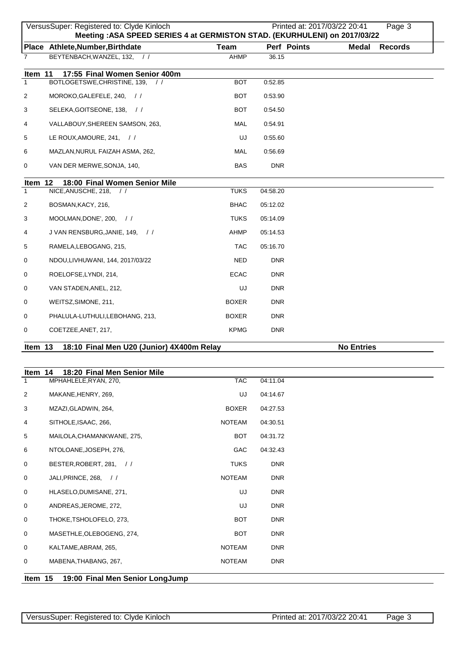|                | VersusSuper: Registered to: Clyde Kinloch<br>Meeting : ASA SPEED SERIES 4 at GERMISTON STAD. (EKURHULENI) on 2017/03/22 |              |             | Printed at: 2017/03/22 20:41   | Page 3 |
|----------------|-------------------------------------------------------------------------------------------------------------------------|--------------|-------------|--------------------------------|--------|
|                | Place Athlete, Number, Birthdate                                                                                        | <b>Team</b>  | Perf Points | <b>Medal</b><br><b>Records</b> |        |
| $\overline{7}$ | BEYTENBACH, WANZEL, 132, //                                                                                             | AHMP         | 36.15       |                                |        |
| Item 11        | 17:55 Final Women Senior 400m                                                                                           |              |             |                                |        |
| $\mathbf{1}$   | BOTLOGETSWE, CHRISTINE, 139,<br>$\frac{1}{2}$                                                                           | <b>BOT</b>   | 0:52.85     |                                |        |
| $\overline{2}$ | MOROKO, GALEFELE, 240, //                                                                                               | <b>BOT</b>   | 0:53.90     |                                |        |
| 3              | SELEKA, GOITSEONE, 138, //                                                                                              | <b>BOT</b>   | 0:54.50     |                                |        |
| 4              | VALLABOUY, SHEREEN SAMSON, 263,                                                                                         | MAL          | 0:54.91     |                                |        |
| 5              | LE ROUX, AMOURE, 241, //                                                                                                | UJ           | 0:55.60     |                                |        |
| 6              | MAZLAN, NURUL FAIZAH ASMA, 262,                                                                                         | MAL          | 0:56.69     |                                |        |
| 0              | VAN DER MERWE, SONJA, 140,                                                                                              | <b>BAS</b>   | <b>DNR</b>  |                                |        |
| Item 12        | 18:00 Final Women Senior Mile                                                                                           |              |             |                                |        |
| $\mathbf{1}$   | NICE, ANUSCHE, 218,<br>$\frac{1}{2}$                                                                                    | <b>TUKS</b>  | 04:58.20    |                                |        |
| 2              | BOSMAN, KACY, 216,                                                                                                      | <b>BHAC</b>  | 05:12.02    |                                |        |
| 3              | MOOLMAN, DONE', 200, $\frac{1}{1}$                                                                                      | <b>TUKS</b>  | 05:14.09    |                                |        |
| 4              | J VAN RENSBURG, JANIE, 149, //                                                                                          | <b>AHMP</b>  | 05:14.53    |                                |        |
| 5              | RAMELA, LEBOGANG, 215,                                                                                                  | <b>TAC</b>   | 05:16.70    |                                |        |
| 0              | NDOU, LIVHUWANI, 144, 2017/03/22                                                                                        | <b>NED</b>   | <b>DNR</b>  |                                |        |
| 0              | ROELOFSE, LYNDI, 214,                                                                                                   | <b>ECAC</b>  | <b>DNR</b>  |                                |        |
| 0              | VAN STADEN, ANEL, 212,                                                                                                  | UJ           | DNR.        |                                |        |
| 0              | WEITSZ, SIMONE, 211,                                                                                                    | <b>BOXER</b> | DNR.        |                                |        |
| 0              | PHALULA-LUTHULI, LEBOHANG, 213,                                                                                         | <b>BOXER</b> | DNR.        |                                |        |
| 0              | COETZEE, ANET, 217,                                                                                                     | <b>KPMG</b>  | <b>DNR</b>  |                                |        |
| Item 13        | 18:10 Final Men U20 (Junior) 4X400m Relay                                                                               |              |             | <b>No Entries</b>              |        |

| ltem 14<br>18:20 Final Men Senior Mile |               |                                 |
|----------------------------------------|---------------|---------------------------------|
| MPHAHLELE, RYAN, 270,                  | <b>TAC</b>    | 04:11.04                        |
| MAKANE, HENRY, 269,                    | UJ            | 04:14.67                        |
| MZAZI, GLADWIN, 264,                   | <b>BOXER</b>  | 04:27.53                        |
| SITHOLE, ISAAC, 266,                   | <b>NOTEAM</b> | 04:30.51                        |
| MAILOLA, CHAMANKWANE, 275,             | <b>BOT</b>    | 04:31.72                        |
| NTOLOANE, JOSEPH, 276,                 | <b>GAC</b>    | 04:32.43                        |
| BESTER, ROBERT, 281, //                | <b>TUKS</b>   | <b>DNR</b>                      |
| JALI, PRINCE, 268, //                  | <b>NOTEAM</b> | <b>DNR</b>                      |
| HLASELO, DUMISANE, 271,                | UJ            | <b>DNR</b>                      |
| ANDREAS, JEROME, 272,                  | UJ            | <b>DNR</b>                      |
| THOKE, TSHOLOFELO, 273,                | <b>BOT</b>    | <b>DNR</b>                      |
| MASETHLE, OLEBOGENG, 274,              | <b>BOT</b>    | <b>DNR</b>                      |
| KALTAME, ABRAM, 265,                   | <b>NOTEAM</b> | <b>DNR</b>                      |
| MABENA, THABANG, 267,                  | <b>NOTEAM</b> | <b>DNR</b>                      |
| Item 15                                |               |                                 |
|                                        |               | 19:00 Final Men Senior LongJump |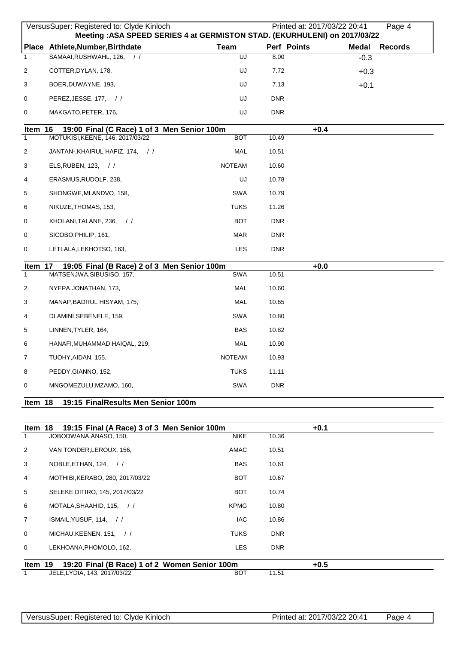|                | VersusSuper: Registered to: Clyde Kinloch<br>Meeting : ASA SPEED SERIES 4 at GERMISTON STAD. (EKURHULENI) on 2017/03/22 |               | Printed at: 2017/03/22 20:41 | Page 4                  |
|----------------|-------------------------------------------------------------------------------------------------------------------------|---------------|------------------------------|-------------------------|
| <b>Place</b>   | Athlete, Number, Birthdate                                                                                              | <b>Team</b>   | Perf Points                  | <b>Records</b><br>Medal |
| -1             | SAMAAI, RUSHWAHL, 126,                                                                                                  | UJ            | 8.00                         | $-0.3$                  |
| $\overline{c}$ | COTTER, DYLAN, 178,                                                                                                     | UJ            | 7.72                         | $+0.3$                  |
| 3              | BOER, DUWAYNE, 193,                                                                                                     | UJ            | 7.13                         | $+0.1$                  |
| 0              | PEREZ, JESSE, 177, //                                                                                                   | UJ            | <b>DNR</b>                   |                         |
| 0              | MAKGATO, PETER, 176,                                                                                                    | UJ            | <b>DNR</b>                   |                         |
| Item 16        | 19:00 Final (C Race) 1 of 3 Men Senior 100m                                                                             |               | $+0.4$                       |                         |
| $\mathbf{1}$   | MOTUKISI, KEENE, 146, 2017/03/22                                                                                        | <b>BOT</b>    | 10.49                        |                         |
| $\overline{2}$ | JANTAN-, KHAIRUL HAFIZ, 174, //                                                                                         | MAL           | 10.51                        |                         |
| 3              | ELS, RUBEN, 123, //                                                                                                     | <b>NOTEAM</b> | 10.60                        |                         |
| 4              | ERASMUS, RUDOLF, 238,                                                                                                   | UJ            | 10.78                        |                         |
| 5              | SHONGWE, MLANDVO, 158,                                                                                                  | <b>SWA</b>    | 10.79                        |                         |
| 6              | NIKUZE, THOMAS, 153,                                                                                                    | <b>TUKS</b>   | 11.26                        |                         |
| 0              | XHOLANI, TALANE, 236, //                                                                                                | <b>BOT</b>    | <b>DNR</b>                   |                         |
| 0              | SICOBO, PHILIP, 161,                                                                                                    | <b>MAR</b>    | <b>DNR</b>                   |                         |
| 0              | LETLALA, LEKHOTSO, 163,                                                                                                 | <b>LES</b>    | <b>DNR</b>                   |                         |
| Item 17        | 19:05 Final (B Race) 2 of 3 Men Senior 100m                                                                             |               | $+0.0$                       |                         |
| $\mathbf{1}$   | MATSENJWA, SIBUSISO, 157,                                                                                               | SWA           | 10.51                        |                         |
| $\overline{2}$ | NYEPA, JONATHAN, 173,                                                                                                   | MAL           | 10.60                        |                         |
| 3              | MANAP, BADRUL HISYAM, 175,                                                                                              | MAL           | 10.65                        |                         |
| 4              | DLAMINI, SEBENELE, 159,                                                                                                 | <b>SWA</b>    | 10.80                        |                         |
| 5              | LINNEN, TYLER, 164,                                                                                                     | <b>BAS</b>    | 10.82                        |                         |
| 6              | HANAFI, MUHAMMAD HAIQAL, 219,                                                                                           | <b>MAL</b>    | 10.90                        |                         |
| 7              | TUOHY, AIDAN, 155,                                                                                                      | <b>NOTEAM</b> | 10.93                        |                         |
| 8              | PEDDY, GIANNO, 152,                                                                                                     | <b>TUKS</b>   | 11.11                        |                         |
| 0              | MNGOMEZULU, MZAMO, 160,                                                                                                 | SWA           | <b>DNR</b>                   |                         |
| Item 18        | 19:15 FinalResults Men Senior 100m                                                                                      |               |                              |                         |

|                 | Item 18 19:15 Final (A Race) 3 of 3 Men Senior 100m |             |            | $+0.1$ |  |
|-----------------|-----------------------------------------------------|-------------|------------|--------|--|
| $\mathbf{1}$    | JOBODWANA, ANASO, 150,                              | <b>NIKE</b> | 10.36      |        |  |
| 2               | VAN TONDER, LEROUX, 156,                            | AMAC        | 10.51      |        |  |
| 3               | NOBLE, ETHAN, 124, //                               | <b>BAS</b>  | 10.61      |        |  |
| 4               | MOTHIBI, KERABO, 280, 2017/03/22                    | <b>BOT</b>  | 10.67      |        |  |
| $5\overline{5}$ | SELEKE, DITIRO, 145, 2017/03/22                     | <b>BOT</b>  | 10.74      |        |  |
| 6               | MOTALA, SHAAHID, 115, //                            | <b>KPMG</b> | 10.80      |        |  |
| $7^{\circ}$     | ISMAIL, YUSUF, 114, //                              | <b>IAC</b>  | 10.86      |        |  |
| $\Omega$        | MICHAU, KEENEN, 151, //                             | <b>TUKS</b> | <b>DNR</b> |        |  |
| $\mathbf{0}$    | LEKHOANA, PHOMOLO, 162,                             | <b>LES</b>  | <b>DNR</b> |        |  |
| Item 19         | 19:20 Final (B Race) 1 of 2 Women Senior 100m       |             |            | $+0.5$ |  |
| $\mathbf{1}$    | JELE, LYDIA, 143, 2017/03/22                        | <b>BOT</b>  | 11.51      |        |  |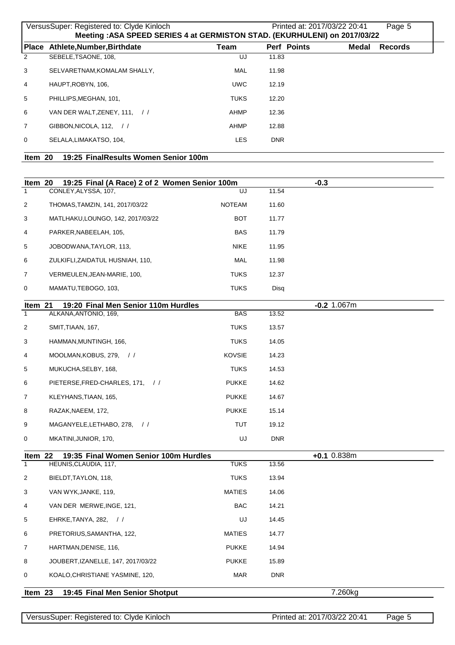|                | VersusSuper: Registered to: Clyde Kinloch<br>Printed at: 2017/03/22 20:41<br>Page 5 |             |                    |                         |  |  |  |
|----------------|-------------------------------------------------------------------------------------|-------------|--------------------|-------------------------|--|--|--|
|                | Meeting : ASA SPEED SERIES 4 at GERMISTON STAD. (EKURHULENI) on 2017/03/22          |             |                    |                         |  |  |  |
|                | Place Athlete, Number, Birthdate                                                    | Team        | <b>Perf Points</b> | Medal<br><b>Records</b> |  |  |  |
| 2              | SEBELE, TSAONE, 108,                                                                | UJ          | 11.83              |                         |  |  |  |
| 3              | SELVARETNAM, KOMALAM SHALLY,                                                        | <b>MAL</b>  | 11.98              |                         |  |  |  |
| $\overline{4}$ | HAUPT.ROBYN. 106.                                                                   | <b>UWC</b>  | 12.19              |                         |  |  |  |
| 5              | PHILLIPS.MEGHAN. 101.                                                               | <b>TUKS</b> | 12.20              |                         |  |  |  |
| 6              | VAN DER WALT, ZENEY, 111, //                                                        | AHMP        | 12.36              |                         |  |  |  |
| $\overline{7}$ | GIBBON.NICOLA. 112. $\frac{1}{1}$                                                   | AHMP        | 12.88              |                         |  |  |  |
| $\Omega$       | SELALA.LIMAKATSO, 104.                                                              | <b>LES</b>  | <b>DNR</b>         |                         |  |  |  |
|                |                                                                                     |             |                    |                         |  |  |  |

| ltem 20 | 19:25 FinalResults Women Senior 100m |
|---------|--------------------------------------|
|         |                                      |

| Item 20        | 19:25 Final (A Race) 2 of 2 Women Senior 100m |               |            | $-0.3$        |  |
|----------------|-----------------------------------------------|---------------|------------|---------------|--|
| $\mathbf{1}$   | CONLEY, ALYSSA, 107,                          | UJ            | 11.54      |               |  |
| 2              | THOMAS, TAMZIN, 141, 2017/03/22               | <b>NOTEAM</b> | 11.60      |               |  |
| 3              | MATLHAKU, LOUNGO, 142, 2017/03/22             | <b>BOT</b>    | 11.77      |               |  |
| 4              | PARKER, NABEELAH, 105,                        | <b>BAS</b>    | 11.79      |               |  |
| 5              | JOBODWANA, TAYLOR, 113,                       | <b>NIKE</b>   | 11.95      |               |  |
| 6              | ZULKIFLI, ZAIDATUL HUSNIAH, 110,              | MAL           | 11.98      |               |  |
| 7              | VERMEULEN, JEAN-MARIE, 100,                   | <b>TUKS</b>   | 12.37      |               |  |
| 0              | MAMATU, TEBOGO, 103,                          | <b>TUKS</b>   | Disq       |               |  |
| Item 21        | 19:20 Final Men Senior 110m Hurdles           |               |            | $-0.2$ 1.067m |  |
| $\mathbf{1}$   | ALKANA, ANTONIO, 169,                         | <b>BAS</b>    | 13.52      |               |  |
| 2              | SMIT, TIAAN, 167,                             | TUKS          | 13.57      |               |  |
| 3              | HAMMAN, MUNTINGH, 166,                        | <b>TUKS</b>   | 14.05      |               |  |
| 4              | MOOLMAN, KOBUS, 279, //                       | <b>KOVSIE</b> | 14.23      |               |  |
| 5              | MUKUCHA, SELBY, 168,                          | <b>TUKS</b>   | 14.53      |               |  |
| 6              | PIETERSE, FRED-CHARLES, 171, //               | <b>PUKKE</b>  | 14.62      |               |  |
| 7              | KLEYHANS, TIAAN, 165,                         | <b>PUKKE</b>  | 14.67      |               |  |
| 8              | RAZAK, NAEEM, 172,                            | <b>PUKKE</b>  | 15.14      |               |  |
| 9              | MAGANYELE, LETHABO, 278, //                   | TUT           | 19.12      |               |  |
| 0              | MKATINI, JUNIOR, 170,                         | UJ            | <b>DNR</b> |               |  |
| Item 22        | 19:35 Final Women Senior 100m Hurdles         |               |            | $+0.1$ 0.838m |  |
| $\overline{1}$ | HEUNIS, CLAUDIA, 117,                         | <b>TUKS</b>   | 13.56      |               |  |
| $\overline{2}$ | BIELDT, TAYLON, 118,                          | <b>TUKS</b>   | 13.94      |               |  |
| 3              | VAN WYK, JANKE, 119,                          | <b>MATIES</b> | 14.06      |               |  |
| 4              | VAN DER MERWE, INGE, 121,                     | <b>BAC</b>    | 14.21      |               |  |
| 5              | EHRKE, TANYA, 282, //                         | UJ            | 14.45      |               |  |
| 6              | PRETORIUS, SAMANTHA, 122,                     | <b>MATIES</b> | 14.77      |               |  |
| 7              | HARTMAN, DENISE, 116,                         | <b>PUKKE</b>  | 14.94      |               |  |
| 8              | JOUBERT, IZANELLE, 147, 2017/03/22            | <b>PUKKE</b>  | 15.89      |               |  |
| 0              | KOALO, CHRISTIANE YASMINE, 120,               | <b>MAR</b>    | <b>DNR</b> |               |  |
| Item 23        | 19:45 Final Men Senior Shotput                |               |            | 7.260kg       |  |
|                |                                               |               |            |               |  |